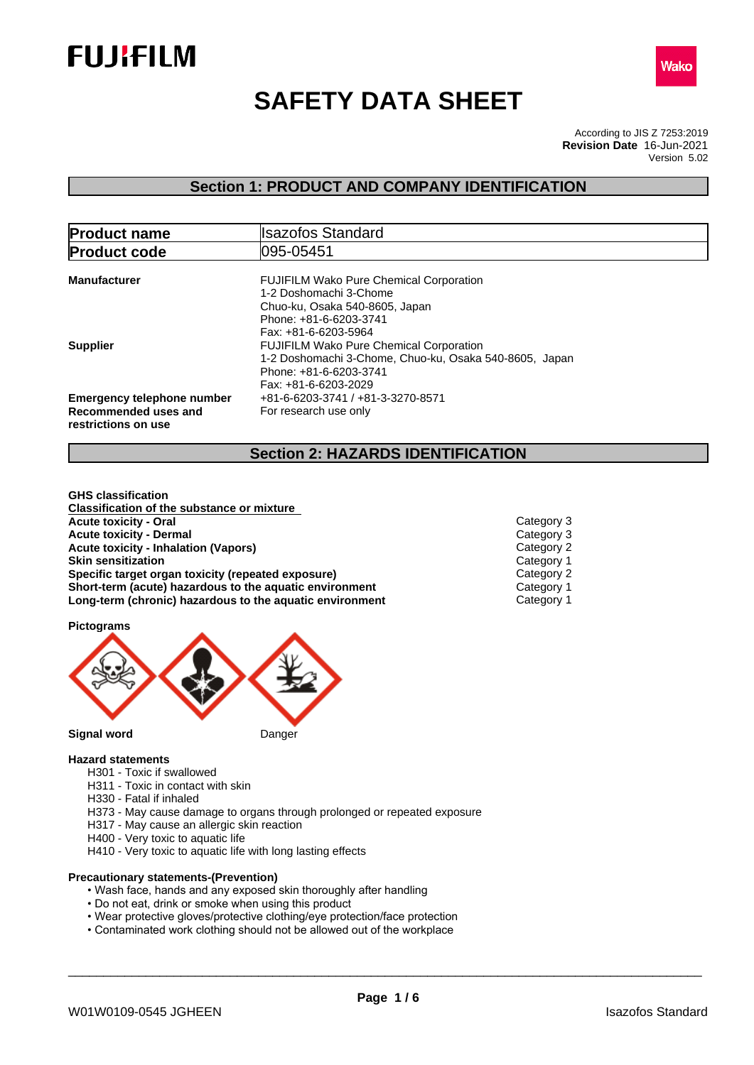



# **SAFETY DATA SHEET**

According to JIS Z 7253:2019 Version 5.02 **Revision Date** 16-Jun-2021

# **Section 1: PRODUCT AND COMPANY IDENTIFICATION**

| <b>Product name</b>                                                              | <b>Ilsazofos Standard</b>                                                                                                                                    |
|----------------------------------------------------------------------------------|--------------------------------------------------------------------------------------------------------------------------------------------------------------|
| <b>Product code</b>                                                              | 095-05451                                                                                                                                                    |
| <b>Manufacturer</b>                                                              | <b>FUJIFILM Wako Pure Chemical Corporation</b><br>1-2 Doshomachi 3-Chome<br>Chuo-ku, Osaka 540-8605, Japan<br>Phone: +81-6-6203-3741<br>Fax: +81-6-6203-5964 |
| <b>Supplier</b>                                                                  | <b>FUJIFILM Wako Pure Chemical Corporation</b><br>1-2 Doshomachi 3-Chome, Chuo-ku, Osaka 540-8605, Japan<br>Phone: +81-6-6203-3741<br>Fax: +81-6-6203-2029   |
| <b>Emergency telephone number</b><br>Recommended uses and<br>restrictions on use | +81-6-6203-3741 / +81-3-3270-8571<br>For research use only                                                                                                   |

# **Section 2: HAZARDS IDENTIFICATION**

**GHS classification Classification of the substance or mixture Acute toxicity - Oral** Category 3 **Acute toxicity - Dermal**<br> **Acute toxicity - Inhalation (Vapors)**<br> **Category 2** Category 2 **Acute toxicity - Inhalation (Vapors)**<br>
Skin sensitization<br>
Category 1 **Skin sensitization Specific target organ toxicity (repeated exposure) Category 2<br>
<b>Short-term (acute) hazardous to the aquatic environment** Category 1 **Short-term** (acute) hazardous to the aquatic environment **Long-term (chronic) hazardous to the aquatic environment** Category 1

**Pictograms**



**Signal word** Danger

#### **Hazard statements**

- H301 Toxic if swallowed
- H311 Toxic in contact with skin
- H330 Fatal if inhaled
- H373 May cause damage to organs through prolonged or repeated exposure
- H317 May cause an allergic skin reaction
- H400 Very toxic to aquatic life
- H410 Very toxic to aquatic life with long lasting effects

# **Precautionary statements-(Prevention)**

- Wash face, hands and any exposed skin thoroughly after handling
- Do not eat, drink or smoke when using this product
- Wear protective gloves/protective clothing/eye protection/face protection
- Contaminated work clothing should not be allowed out of the workplace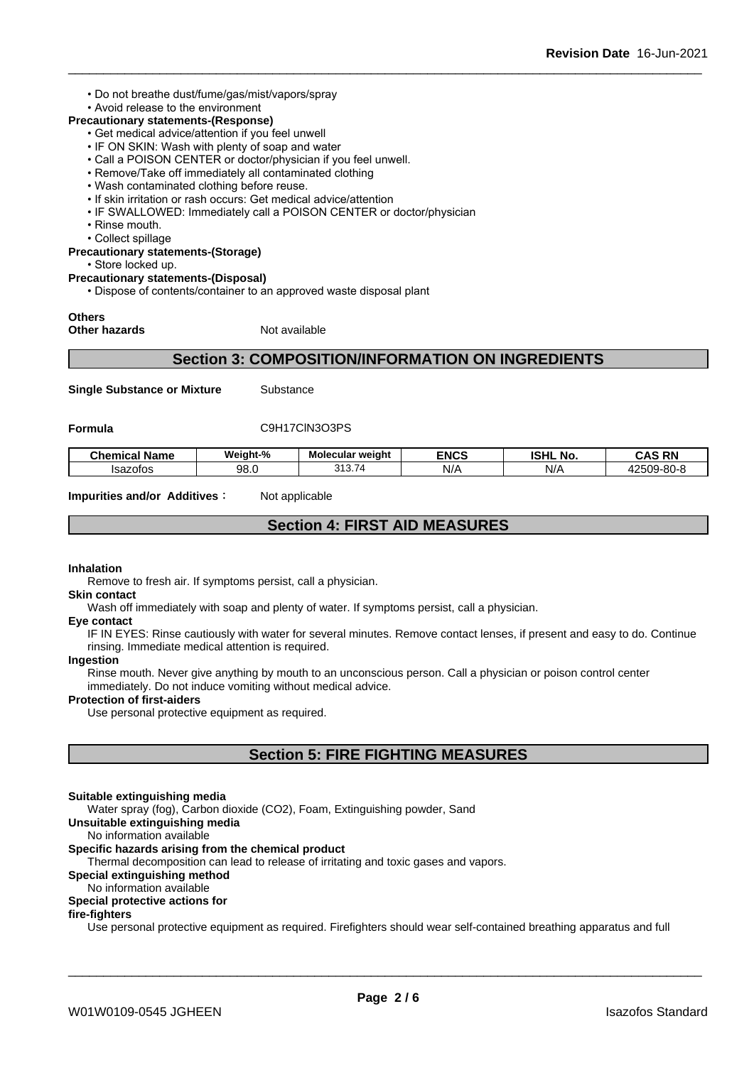• Do not breathe dust/fume/gas/mist/vapors/spray

# • Avoid release to the environment

- **Precautionary statements-(Response)**
	- Get medical advice/attention if you feel unwell
	- IF ON SKIN: Wash with plenty of soap and water
	- Call a POISON CENTER or doctor/physician if you feel unwell.
	- Remove/Take off immediately all contaminated clothing
	- Wash contaminated clothing before reuse.
	- If skin irritation or rash occurs: Get medical advice/attention
	- IF SWALLOWED: Immediately call a POISON CENTER or doctor/physician
	- Rinse mouth.
	- Collect spillage

**Precautionary statements-(Storage)**

• Store locked up.

**Precautionary statements-(Disposal)**

• Dispose of contents/container to an approved waste disposal plant

# **Others**

**Other hazards** Not available

# **Section 3: COMPOSITION/INFORMATION ON INGREDIENTS**

**Single Substance or Mixture** Substance

# Formula C9H17ClN3O3PS

| Name<br>Chemical | Weight-% | - -<br><b>Molecular weight</b> | <b>ENCS</b> | <b>ISHL</b><br>. .<br>. NO | RN<br>--   |
|------------------|----------|--------------------------------|-------------|----------------------------|------------|
| Isazotos<br>טוט: | 98.0     | -<br>0.40<br><u>ບ ເມ.</u>      | N/A         | N/A                        | 42509-80-8 |

**Impurities and/or Additives** : Not applicable

# **Section 4: FIRST AID MEASURES**

## **Inhalation**

Remove to fresh air. If symptoms persist, call a physician.

**Skin contact**

Wash off immediately with soap and plenty of water. If symptoms persist, call a physician.

#### **Eye contact**

IF IN EYES: Rinse cautiously with water for several minutes. Remove contact lenses, if present and easy to do. Continue rinsing. Immediate medical attention is required.

# **Ingestion**

Rinse mouth. Never give anything by mouth to an unconscious person. Call a physician or poison control center immediately. Do not induce vomiting without medical advice.

## **Protection of first-aiders**

Use personal protective equipment as required.

# **Section 5: FIRE FIGHTING MEASURES**

#### **Suitable extinguishing media**

Water spray (fog), Carbon dioxide (CO2), Foam, Extinguishing powder, Sand

## **Unsuitable extinguishing media**

#### No information available

# **Specific hazards arising from the chemical product**

Thermal decomposition can lead to release of irritating and toxic gases and vapors.

# **Special extinguishing method**

# No information available

# **Special protective actions for**

# **fire-fighters**

Use personal protective equipment as required.Firefighters should wear self-contained breathing apparatus and full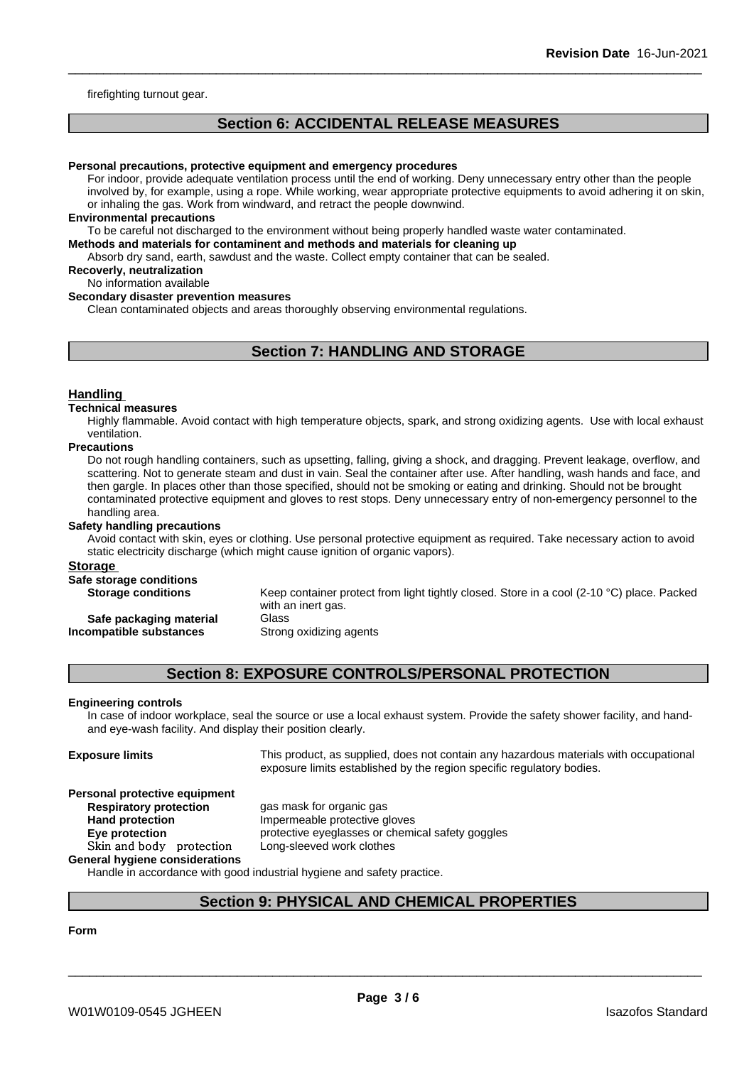firefighting turnout gear.

# **Section 6: ACCIDENTAL RELEASE MEASURES**

#### **Personal precautions, protective equipment and emergency procedures**

For indoor, provide adequate ventilation process until the end of working. Deny unnecessary entry other than the people involved by, for example, using a rope. While working, wear appropriate protective equipments to avoid adhering it on skin, or inhaling the gas. Work from windward, and retract the people downwind.

#### **Environmental precautions**

To be careful not discharged to the environment without being properly handled waste water contaminated.

## **Methods and materials for contaminent and methods and materials for cleaning up**

Absorb dry sand, earth, sawdust and the waste. Collect empty container that can be sealed.

# **Recoverly, neutralization**

## No information available

## **Secondary disaster prevention measures**

Clean contaminated objects and areas thoroughly observing environmental regulations.

# **Section 7: HANDLING AND STORAGE**

#### **Handling**

#### **Technical measures**

Highly flammable. Avoid contact with high temperature objects, spark, and strong oxidizing agents. Use with local exhaust ventilation.

#### **Precautions**

Do not rough handling containers, such as upsetting, falling, giving a shock, and dragging. Prevent leakage, overflow, and scattering. Not to generate steam and dust in vain. Seal the container after use. After handling, wash hands and face, and then gargle. In places other than those specified, should not be smoking or eating and drinking. Should not be brought contaminated protective equipment and gloves to rest stops. Deny unnecessary entry of non-emergency personnel to the handling area.

#### **Safety handling precautions**

Avoid contact with skin, eyes or clothing. Use personal protective equipment as required.Take necessary action to avoid static electricity discharge (which might cause ignition of organic vapors).

#### **Storage**

# **Safe storage conditions**

**Storage conditions** Keep container protect from light tightly closed. Store in a cool (2-10 °C) place. Packed with an inert gas.

# **Incompatible** substances

**Safe packaging material** Glass<br>**ompatible substances** Strong oxidizing agents

# **Section 8: EXPOSURE CONTROLS/PERSONAL PROTECTION**

#### **Engineering controls**

In case of indoor workplace, seal the source or use a local exhaust system. Provide the safety shower facility, and handand eye-wash facility. And display their position clearly.

**Exposure limits** This product, as supplied, does not contain any hazardous materials with occupational exposure limits established by the region specific regulatory bodies.

# **Personal protective equipment**

**General hygiene considerations**

**Respiratory protection** gas mask for organic gas **Hand protection Impermeable protective gloves Eye protection Exercise protective eyeglasses or chemical safety goggles Skinandbody protection** Long-sleeved work clothes

Handle in accordance with good industrial hygiene and safety practice.

# **Section 9: PHYSICAL AND CHEMICAL PROPERTIES**

# **Form**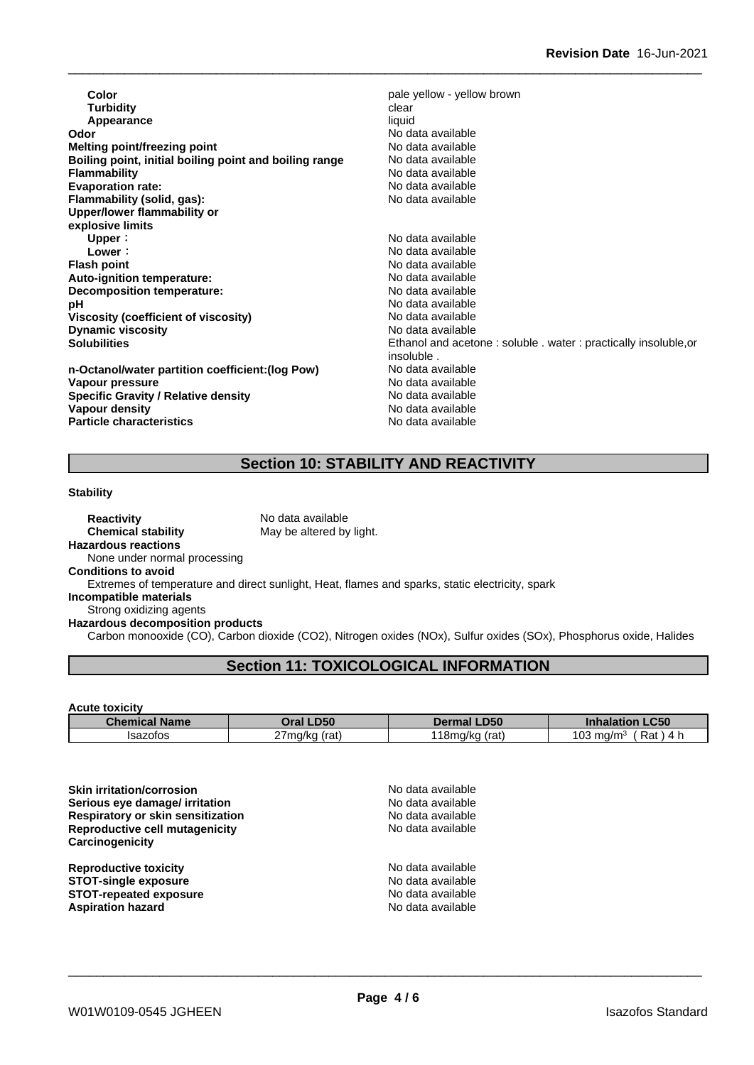**Color Color Color Pale yellow - yellow brown Turbidity Clear**<br> **Appearance Clear Appearance Appearance Odor** (*No* data available of the set of the set of the set of the Modata available of the Modata available of the Modata available of the Modata available of the Modata available of the Modata available of the Modata ava **Melting point/freezing point**<br>**Boiling point, initial boiling point and boiling range** No data available **Boiling** point, initial boiling point and boiling range **Flammability**<br> **Evaporation rate:**<br> **Evaporation rate:**<br> **Evaporation rate: Evaporation rate: Flammability (solid, gas):** No data available **Upper/lower flammability or explosive limits Upper**: No data available **Lower**: No data available **Flash point**<br> **Auto-ignition temperature:**<br> **Auto-ignition temperature:**<br> **Auto-ignition temperature: Auto-ignition temperature: Decomposition temperature:** No data available **pH** No data available<br>Viscosity (coefficient of viscosity) No data available **Viscosity (coefficient of viscosity)** No data available<br> **Dynamic viscosity** No data available **Dynamic** viscosity **Solubilities** Ethanol and acetone : soluble . water : practically insoluble,or **n-Octanol/water partition coefficient:(log Pow) No data available<br>
<b>Vapour pressure** No data available

**Vapour pressure**<br> **Specific Gravity / Relative density**<br>
Specific Gravity / Relative density<br>
No data available **Specific Gravity / Relative density Vapour density Vapour density Particle characteristics** No data available

insoluble .<br>No data available

# **Section 10: STABILITY AND REACTIVITY**

#### **Stability**

**Reactivity** No data available **Chemical stability** May be altered by light. **Hazardous reactions**

None under normal processing

# **Conditions to avoid**

Extremes of temperature and direct sunlight, Heat, flames and sparks, static electricity, spark

# **Incompatible materials**

Strong oxidizing agents

## **Hazardous decomposition products**

Carbon monooxide (CO), Carbon dioxide (CO2), Nitrogen oxides (NOx), Sulfur oxides (SOx), Phosphorus oxide, Halides

# **Section 11: TOXICOLOGICAL INFORMATION**

## **Acute toxicity**

| Chemical<br><b>Name</b> | D <sub>50</sub><br>Oral | DEO<br>טכּש                         | $\sim$ $\sim$ $\sim$<br>I 61 6<br>™CJL. |
|-------------------------|-------------------------|-------------------------------------|-----------------------------------------|
| Isazotos                | 27ma/ka ∪<br>(rat)      | 1.00<br>na/ko<br>tial<br>'NU<br>. . | <b>03</b><br>Rat<br>ma/m<br>. .         |

| <b>Skin irritation/corrosion</b><br>Serious eye damage/ irritation<br><b>Respiratory or skin sensitization</b><br>Reproductive cell mutagenicity<br>Carcinogenicity | No data available<br>No data available<br>No data available<br>No data available |
|---------------------------------------------------------------------------------------------------------------------------------------------------------------------|----------------------------------------------------------------------------------|
| <b>Reproductive toxicity</b>                                                                                                                                        | No data available                                                                |
| <b>STOT-single exposure</b>                                                                                                                                         | No data available                                                                |
| <b>STOT-repeated exposure</b>                                                                                                                                       | No data available                                                                |
| <b>Aspiration hazard</b>                                                                                                                                            | No data available                                                                |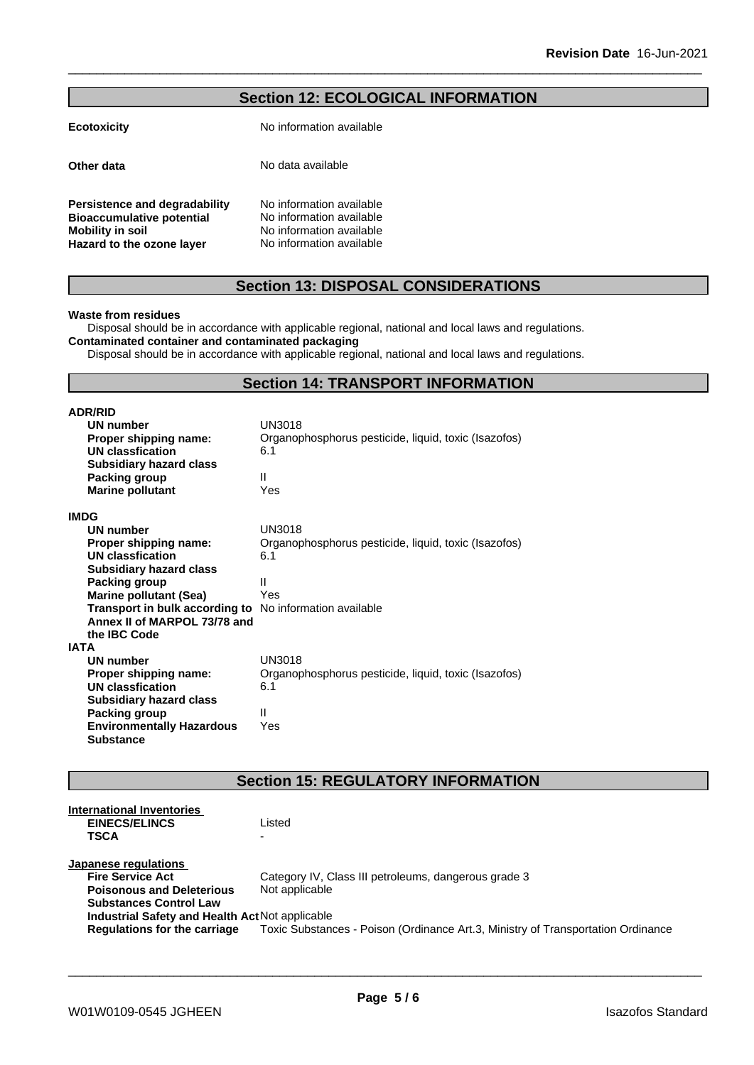| <b>Section 12: ECOLOGICAL INFORMATION</b> |
|-------------------------------------------|
|-------------------------------------------|

| <b>Ecotoxicity</b>               | No information available |
|----------------------------------|--------------------------|
| Other data                       | No data available        |
| Persistence and degradability    | No information available |
| <b>Bioaccumulative potential</b> | No information available |
| <b>Mobility in soil</b>          | No information available |
| Hazard to the ozone layer        | No information available |

# **Section 13: DISPOSAL CONSIDERATIONS**

#### **Waste from residues**

Disposal should be in accordance with applicable regional, national and local laws and regulations. **Contaminated container and contaminated packaging**

Disposal should be in accordance with applicable regional, national and local laws and regulations.

# **Section 14: TRANSPORT INFORMATION**

| <b>ADR/RID</b>                   |                                                      |
|----------------------------------|------------------------------------------------------|
| <b>UN number</b>                 | <b>UN3018</b>                                        |
| Proper shipping name:            | Organophosphorus pesticide, liquid, toxic (Isazofos) |
| UN classfication                 | 6.1                                                  |
| <b>Subsidiary hazard class</b>   |                                                      |
| Packing group                    | Ш                                                    |
| <b>Marine pollutant</b>          | Yes                                                  |
| IMDG                             |                                                      |
| UN number                        | UN3018                                               |
| Proper shipping name:            | Organophosphorus pesticide, liquid, toxic (Isazofos) |
| UN classfication                 | 6.1                                                  |
| <b>Subsidiary hazard class</b>   |                                                      |
| Packing group                    | Ш                                                    |
| <b>Marine pollutant (Sea)</b>    | Yes                                                  |
| Transport in bulk according to   | No information available                             |
| Annex II of MARPOL 73/78 and     |                                                      |
| the <b>IBC</b> Code              |                                                      |
| IATA                             |                                                      |
| <b>UN number</b>                 | <b>UN3018</b>                                        |
| Proper shipping name:            | Organophosphorus pesticide, liquid, toxic (Isazofos) |
| UN classfication                 | 6.1                                                  |
| <b>Subsidiary hazard class</b>   |                                                      |
| Packing group                    | Ш                                                    |
| <b>Environmentally Hazardous</b> | Yes                                                  |
| <b>Substance</b>                 |                                                      |

# **Section 15: REGULATORY INFORMATION**

| International Inventories                       |                                                                                  |
|-------------------------------------------------|----------------------------------------------------------------------------------|
| <b>EINECS/ELINCS</b>                            | Listed                                                                           |
| TSCA                                            |                                                                                  |
|                                                 |                                                                                  |
| Japanese regulations                            |                                                                                  |
| <b>Fire Service Act</b>                         | Category IV, Class III petroleums, dangerous grade 3                             |
| <b>Poisonous and Deleterious</b>                | Not applicable                                                                   |
| <b>Substances Control Law</b>                   |                                                                                  |
| Industrial Safety and Health Act Not applicable |                                                                                  |
| Regulations for the carriage                    | Toxic Substances - Poison (Ordinance Art.3, Ministry of Transportation Ordinance |